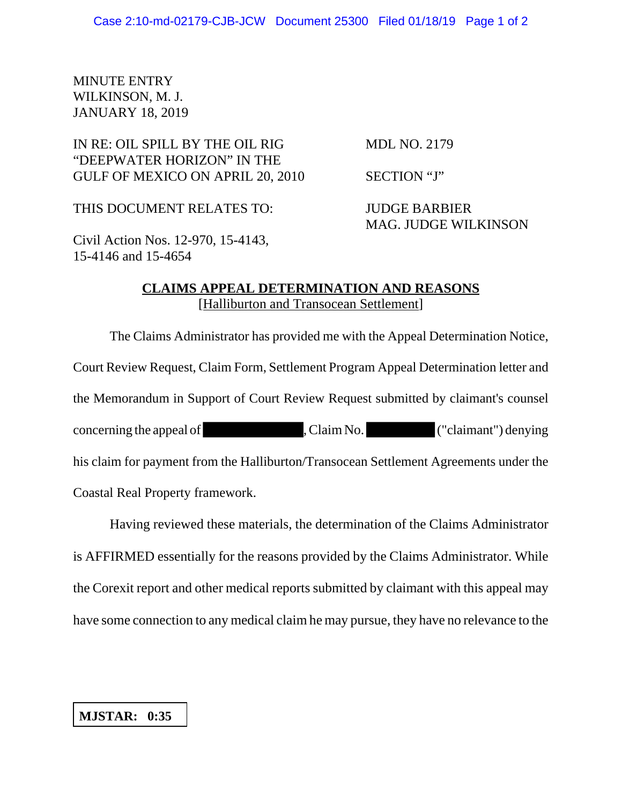## MINUTE ENTRY WILKINSON, M. J. JANUARY 18, 2019

## IN RE: OIL SPILL BY THE OIL RIG MDL NO. 2179 "DEEPWATER HORIZON" IN THE GULF OF MEXICO ON APRIL 20, 2010 SECTION "J"

THIS DOCUMENT RELATES TO: JUDGE BARBIER

MAG. JUDGE WILKINSON

Civil Action Nos. 12-970, 15-4143, 15-4146 and 15-4654

## **CLAIMS APPEAL DETERMINATION AND REASONS** [Halliburton and Transocean Settlement]

The Claims Administrator has provided me with the Appeal Determination Notice, Court Review Request, Claim Form, Settlement Program Appeal Determination letter and the Memorandum in Support of Court Review Request submitted by claimant's counsel concerning the appeal of , Claim No. ("claimant") denying his claim for payment from the Halliburton/Transocean Settlement Agreements under the Coastal Real Property framework.

Having reviewed these materials, the determination of the Claims Administrator is AFFIRMED essentially for the reasons provided by the Claims Administrator. While the Corexit report and other medical reports submitted by claimant with this appeal may have some connection to any medical claim he may pursue, they have no relevance to the

## **MJSTAR: 0:35**